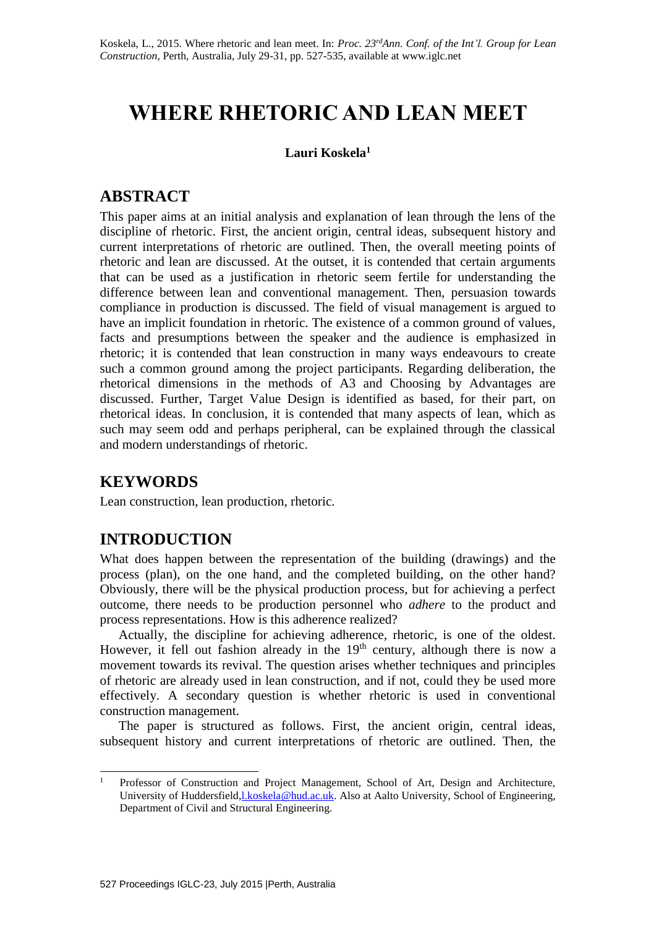# **WHERE RHETORIC AND LEAN MEET**

### **Lauri Koskela<sup>1</sup>**

# **ABSTRACT**

This paper aims at an initial analysis and explanation of lean through the lens of the discipline of rhetoric. First, the ancient origin, central ideas, subsequent history and current interpretations of rhetoric are outlined. Then, the overall meeting points of rhetoric and lean are discussed. At the outset, it is contended that certain arguments that can be used as a justification in rhetoric seem fertile for understanding the difference between lean and conventional management. Then, persuasion towards compliance in production is discussed. The field of visual management is argued to have an implicit foundation in rhetoric. The existence of a common ground of values, facts and presumptions between the speaker and the audience is emphasized in rhetoric; it is contended that lean construction in many ways endeavours to create such a common ground among the project participants. Regarding deliberation, the rhetorical dimensions in the methods of A3 and Choosing by Advantages are discussed. Further, Target Value Design is identified as based, for their part, on rhetorical ideas. In conclusion, it is contended that many aspects of lean, which as such may seem odd and perhaps peripheral, can be explained through the classical and modern understandings of rhetoric.

# **KEYWORDS**

Lean construction, lean production, rhetoric.

# **INTRODUCTION**

What does happen between the representation of the building (drawings) and the process (plan), on the one hand, and the completed building, on the other hand? Obviously, there will be the physical production process, but for achieving a perfect outcome, there needs to be production personnel who *adhere* to the product and process representations. How is this adherence realized?

Actually, the discipline for achieving adherence, rhetoric, is one of the oldest. However, it fell out fashion already in the  $19<sup>th</sup>$  century, although there is now a movement towards its revival. The question arises whether techniques and principles of rhetoric are already used in lean construction, and if not, could they be used more effectively. A secondary question is whether rhetoric is used in conventional construction management.

The paper is structured as follows. First, the ancient origin, central ideas, subsequent history and current interpretations of rhetoric are outlined. Then, the

 $\mathbf{1}$ <sup>1</sup> Professor of Construction and Project Management, School of Art, Design and Architecture, University of Huddersfield[,l.koskela@hud.ac.uk.](mailto:l.koskela@hud.ac.uk) Also at Aalto University, School of Engineering, Department of Civil and Structural Engineering.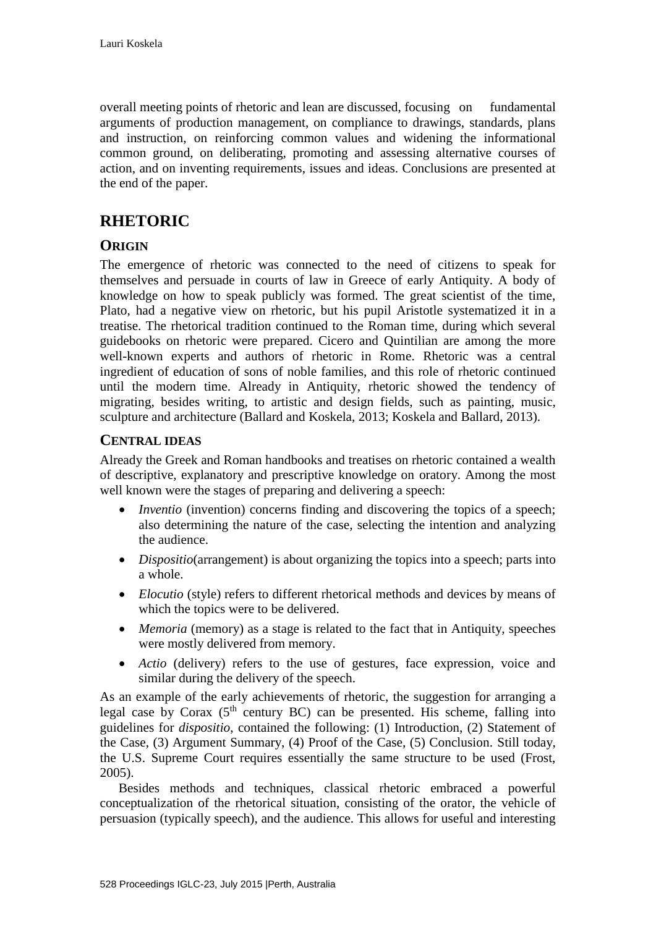overall meeting points of rhetoric and lean are discussed, focusing on fundamental arguments of production management, on compliance to drawings, standards, plans and instruction, on reinforcing common values and widening the informational common ground, on deliberating, promoting and assessing alternative courses of action, and on inventing requirements, issues and ideas. Conclusions are presented at the end of the paper.

# **RHETORIC**

## **ORIGIN**

The emergence of rhetoric was connected to the need of citizens to speak for themselves and persuade in courts of law in Greece of early Antiquity. A body of knowledge on how to speak publicly was formed. The great scientist of the time, Plato, had a negative view on rhetoric, but his pupil Aristotle systematized it in a treatise. The rhetorical tradition continued to the Roman time, during which several guidebooks on rhetoric were prepared. Cicero and Quintilian are among the more well-known experts and authors of rhetoric in Rome. Rhetoric was a central ingredient of education of sons of noble families, and this role of rhetoric continued until the modern time. Already in Antiquity, rhetoric showed the tendency of migrating, besides writing, to artistic and design fields, such as painting, music, sculpture and architecture (Ballard and Koskela, 2013; Koskela and Ballard, 2013).

### **CENTRAL IDEAS**

Already the Greek and Roman handbooks and treatises on rhetoric contained a wealth of descriptive, explanatory and prescriptive knowledge on oratory. Among the most well known were the stages of preparing and delivering a speech:

- *Inventio* (invention) concerns finding and discovering the topics of a speech; also determining the nature of the case, selecting the intention and analyzing the audience.
- *Dispositio*(arrangement) is about organizing the topics into a speech; parts into a whole.
- *Elocutio* (style) refers to different rhetorical methods and devices by means of which the topics were to be delivered.
- *Memoria* (memory) as a stage is related to the fact that in Antiquity, speeches were mostly delivered from memory.
- *Actio* (delivery) refers to the use of gestures, face expression, voice and similar during the delivery of the speech.

As an example of the early achievements of rhetoric, the suggestion for arranging a legal case by Corax  $(5<sup>th</sup>$  century BC) can be presented. His scheme, falling into guidelines for *dispositio*, contained the following: (1) Introduction, (2) Statement of the Case, (3) Argument Summary, (4) Proof of the Case, (5) Conclusion. Still today, the U.S. Supreme Court requires essentially the same structure to be used (Frost, 2005).

Besides methods and techniques, classical rhetoric embraced a powerful conceptualization of the rhetorical situation, consisting of the orator, the vehicle of persuasion (typically speech), and the audience. This allows for useful and interesting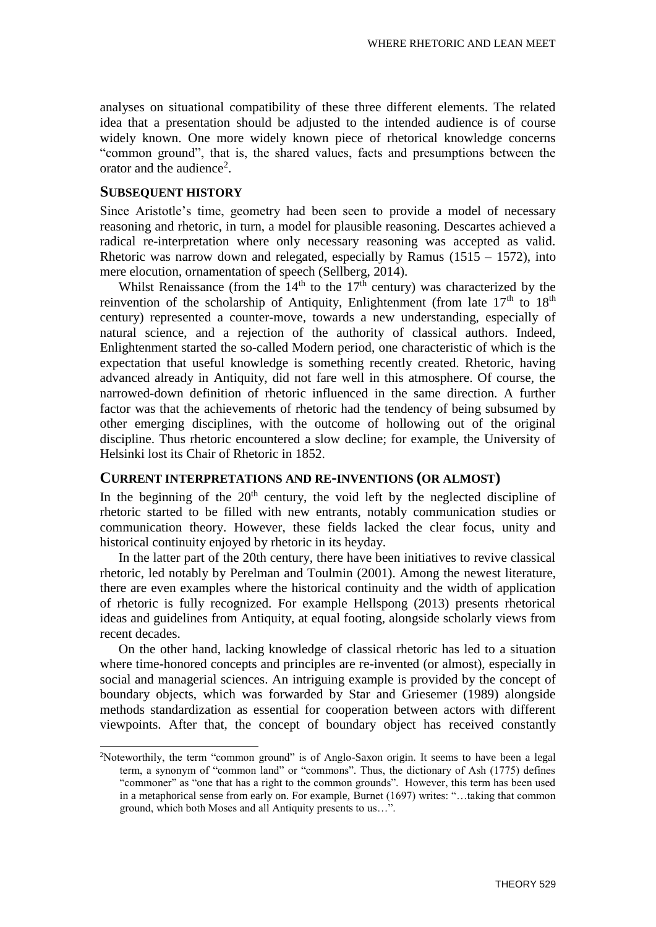analyses on situational compatibility of these three different elements. The related idea that a presentation should be adjusted to the intended audience is of course widely known. One more widely known piece of rhetorical knowledge concerns "common ground", that is, the shared values, facts and presumptions between the orator and the audience<sup>2</sup>.

#### **SUBSEQUENT HISTORY**

-

Since Aristotle's time, geometry had been seen to provide a model of necessary reasoning and rhetoric, in turn, a model for plausible reasoning. Descartes achieved a radical re-interpretation where only necessary reasoning was accepted as valid. Rhetoric was narrow down and relegated, especially by Ramus  $(1515 - 1572)$ , into mere elocution, ornamentation of speech (Sellberg, 2014).

Whilst Renaissance (from the  $14<sup>th</sup>$  to the  $17<sup>th</sup>$  century) was characterized by the reinvention of the scholarship of Antiquity, Enlightenment (from late  $17<sup>th</sup>$  to  $18<sup>th</sup>$ century) represented a counter-move, towards a new understanding, especially of natural science, and a rejection of the authority of classical authors. Indeed, Enlightenment started the so-called Modern period, one characteristic of which is the expectation that useful knowledge is something recently created. Rhetoric, having advanced already in Antiquity, did not fare well in this atmosphere. Of course, the narrowed-down definition of rhetoric influenced in the same direction. A further factor was that the achievements of rhetoric had the tendency of being subsumed by other emerging disciplines, with the outcome of hollowing out of the original discipline. Thus rhetoric encountered a slow decline; for example, the University of Helsinki lost its Chair of Rhetoric in 1852.

#### **CURRENT INTERPRETATIONS AND RE-INVENTIONS (OR ALMOST)**

In the beginning of the  $20<sup>th</sup>$  century, the void left by the neglected discipline of rhetoric started to be filled with new entrants, notably communication studies or communication theory. However, these fields lacked the clear focus, unity and historical continuity enjoyed by rhetoric in its heyday.

In the latter part of the 20th century, there have been initiatives to revive classical rhetoric, led notably by Perelman and Toulmin (2001). Among the newest literature, there are even examples where the historical continuity and the width of application of rhetoric is fully recognized. For example Hellspong (2013) presents rhetorical ideas and guidelines from Antiquity, at equal footing, alongside scholarly views from recent decades.

On the other hand, lacking knowledge of classical rhetoric has led to a situation where time-honored concepts and principles are re-invented (or almost), especially in social and managerial sciences. An intriguing example is provided by the concept of boundary objects, which was forwarded by Star and Griesemer (1989) alongside methods standardization as essential for cooperation between actors with different viewpoints. After that, the concept of boundary object has received constantly

<sup>2</sup>Noteworthily, the term "common ground" is of Anglo-Saxon origin. It seems to have been a legal term, a synonym of "common land" or "commons". Thus, the dictionary of Ash (1775) defines "commoner" as "one that has a right to the common grounds". However, this term has been used in a metaphorical sense from early on. For example, Burnet (1697) writes: "…taking that common ground, which both Moses and all Antiquity presents to us…".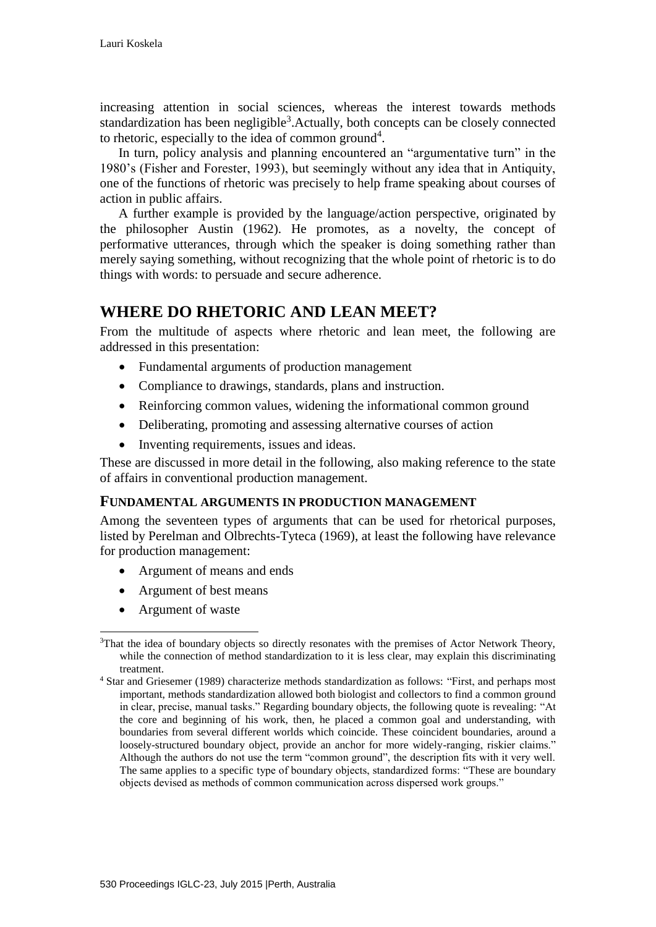increasing attention in social sciences, whereas the interest towards methods standardization has been negligible<sup>3</sup>. Actually, both concepts can be closely connected to rhetoric, especially to the idea of common ground<sup>4</sup>.

In turn, policy analysis and planning encountered an "argumentative turn" in the 1980's (Fisher and Forester, 1993), but seemingly without any idea that in Antiquity, one of the functions of rhetoric was precisely to help frame speaking about courses of action in public affairs.

A further example is provided by the language/action perspective, originated by the philosopher Austin (1962). He promotes, as a novelty, the concept of performative utterances, through which the speaker is doing something rather than merely saying something, without recognizing that the whole point of rhetoric is to do things with words: to persuade and secure adherence.

# **WHERE DO RHETORIC AND LEAN MEET?**

From the multitude of aspects where rhetoric and lean meet, the following are addressed in this presentation:

- Fundamental arguments of production management
- Compliance to drawings, standards, plans and instruction.
- Reinforcing common values, widening the informational common ground
- Deliberating, promoting and assessing alternative courses of action
- Inventing requirements, issues and ideas.

These are discussed in more detail in the following, also making reference to the state of affairs in conventional production management.

### **FUNDAMENTAL ARGUMENTS IN PRODUCTION MANAGEMENT**

Among the seventeen types of arguments that can be used for rhetorical purposes, listed by Perelman and Olbrechts-Tyteca (1969), at least the following have relevance for production management:

- Argument of means and ends
- Argument of best means
- Argument of waste

<sup>-</sup><sup>3</sup>That the idea of boundary objects so directly resonates with the premises of Actor Network Theory, while the connection of method standardization to it is less clear, may explain this discriminating treatment.

<sup>4</sup> Star and Griesemer (1989) characterize methods standardization as follows: "First, and perhaps most important, methods standardization allowed both biologist and collectors to find a common ground in clear, precise, manual tasks." Regarding boundary objects, the following quote is revealing: "At the core and beginning of his work, then, he placed a common goal and understanding, with boundaries from several different worlds which coincide. These coincident boundaries, around a loosely-structured boundary object, provide an anchor for more widely-ranging, riskier claims." Although the authors do not use the term "common ground", the description fits with it very well. The same applies to a specific type of boundary objects, standardized forms: "These are boundary objects devised as methods of common communication across dispersed work groups."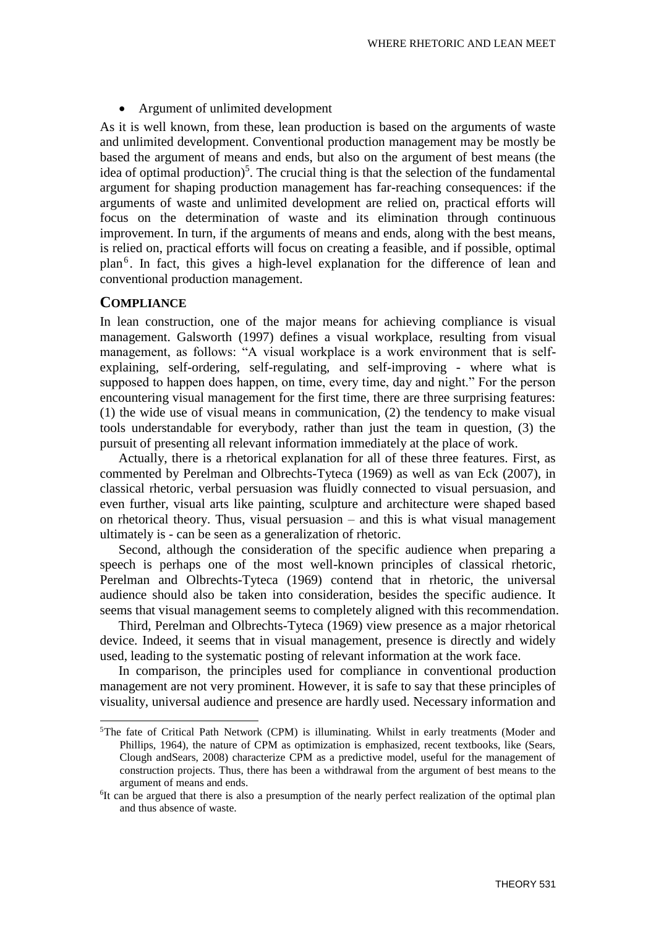Argument of unlimited development

As it is well known, from these, lean production is based on the arguments of waste and unlimited development. Conventional production management may be mostly be based the argument of means and ends, but also on the argument of best means (the idea of optimal production)<sup>5</sup>. The crucial thing is that the selection of the fundamental argument for shaping production management has far-reaching consequences: if the arguments of waste and unlimited development are relied on, practical efforts will focus on the determination of waste and its elimination through continuous improvement. In turn, if the arguments of means and ends, along with the best means, is relied on, practical efforts will focus on creating a feasible, and if possible, optimal plan<sup>6</sup>. In fact, this gives a high-level explanation for the difference of lean and conventional production management.

#### **COMPLIANCE**

1

In lean construction, one of the major means for achieving compliance is visual management. Galsworth (1997) defines a visual workplace, resulting from visual management, as follows: "A visual workplace is a work environment that is selfexplaining, self-ordering, self-regulating, and self-improving - where what is supposed to happen does happen, on time, every time, day and night." For the person encountering visual management for the first time, there are three surprising features: (1) the wide use of visual means in communication, (2) the tendency to make visual tools understandable for everybody, rather than just the team in question, (3) the pursuit of presenting all relevant information immediately at the place of work.

Actually, there is a rhetorical explanation for all of these three features. First, as commented by Perelman and Olbrechts-Tyteca (1969) as well as van Eck (2007), in classical rhetoric, verbal persuasion was fluidly connected to visual persuasion, and even further, visual arts like painting, sculpture and architecture were shaped based on rhetorical theory. Thus, visual persuasion – and this is what visual management ultimately is - can be seen as a generalization of rhetoric.

Second, although the consideration of the specific audience when preparing a speech is perhaps one of the most well-known principles of classical rhetoric, Perelman and Olbrechts-Tyteca (1969) contend that in rhetoric, the universal audience should also be taken into consideration, besides the specific audience. It seems that visual management seems to completely aligned with this recommendation.

Third, Perelman and Olbrechts-Tyteca (1969) view presence as a major rhetorical device. Indeed, it seems that in visual management, presence is directly and widely used, leading to the systematic posting of relevant information at the work face.

In comparison, the principles used for compliance in conventional production management are not very prominent. However, it is safe to say that these principles of visuality, universal audience and presence are hardly used. Necessary information and

<sup>5</sup>The fate of Critical Path Network (CPM) is illuminating. Whilst in early treatments (Moder and Phillips, 1964), the nature of CPM as optimization is emphasized, recent textbooks, like (Sears, Clough andSears, 2008) characterize CPM as a predictive model, useful for the management of construction projects. Thus, there has been a withdrawal from the argument of best means to the argument of means and ends.

<sup>&</sup>lt;sup>6</sup>It can be argued that there is also a presumption of the nearly perfect realization of the optimal plan and thus absence of waste.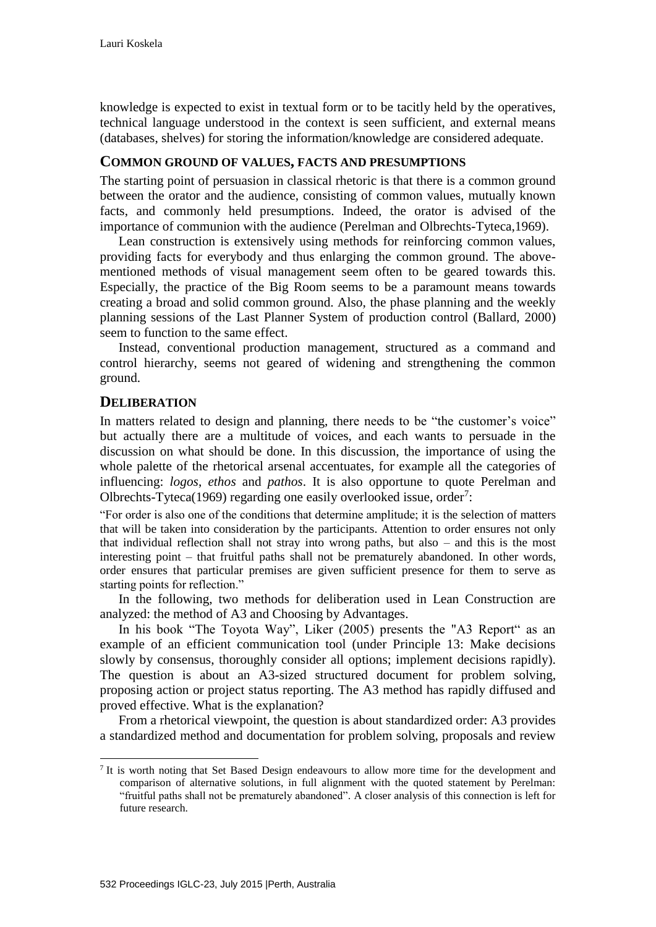knowledge is expected to exist in textual form or to be tacitly held by the operatives, technical language understood in the context is seen sufficient, and external means (databases, shelves) for storing the information/knowledge are considered adequate.

#### **COMMON GROUND OF VALUES, FACTS AND PRESUMPTIONS**

The starting point of persuasion in classical rhetoric is that there is a common ground between the orator and the audience, consisting of common values, mutually known facts, and commonly held presumptions. Indeed, the orator is advised of the importance of communion with the audience (Perelman and Olbrechts-Tyteca,1969).

Lean construction is extensively using methods for reinforcing common values, providing facts for everybody and thus enlarging the common ground. The abovementioned methods of visual management seem often to be geared towards this. Especially, the practice of the Big Room seems to be a paramount means towards creating a broad and solid common ground. Also, the phase planning and the weekly planning sessions of the Last Planner System of production control (Ballard, 2000) seem to function to the same effect.

Instead, conventional production management, structured as a command and control hierarchy, seems not geared of widening and strengthening the common ground.

#### **DELIBERATION**

1

In matters related to design and planning, there needs to be "the customer's voice" but actually there are a multitude of voices, and each wants to persuade in the discussion on what should be done. In this discussion, the importance of using the whole palette of the rhetorical arsenal accentuates, for example all the categories of influencing: *logos*, *ethos* and *pathos*. It is also opportune to quote Perelman and Olbrechts-Tyteca(1969) regarding one easily overlooked issue, order<sup>7</sup>:

"For order is also one of the conditions that determine amplitude; it is the selection of matters that will be taken into consideration by the participants. Attention to order ensures not only that individual reflection shall not stray into wrong paths, but also – and this is the most interesting point – that fruitful paths shall not be prematurely abandoned. In other words, order ensures that particular premises are given sufficient presence for them to serve as starting points for reflection."

In the following, two methods for deliberation used in Lean Construction are analyzed: the method of A3 and Choosing by Advantages.

In his book "The Toyota Way", Liker (2005) presents the "A3 Report" as an example of an efficient communication tool (under Principle 13: Make decisions slowly by consensus, thoroughly consider all options; implement decisions rapidly). The question is about an A3-sized structured document for problem solving, proposing action or project status reporting. The A3 method has rapidly diffused and proved effective. What is the explanation?

From a rhetorical viewpoint, the question is about standardized order: A3 provides a standardized method and documentation for problem solving, proposals and review

<sup>&</sup>lt;sup>7</sup> It is worth noting that Set Based Design endeavours to allow more time for the development and comparison of alternative solutions, in full alignment with the quoted statement by Perelman: "fruitful paths shall not be prematurely abandoned". A closer analysis of this connection is left for future research.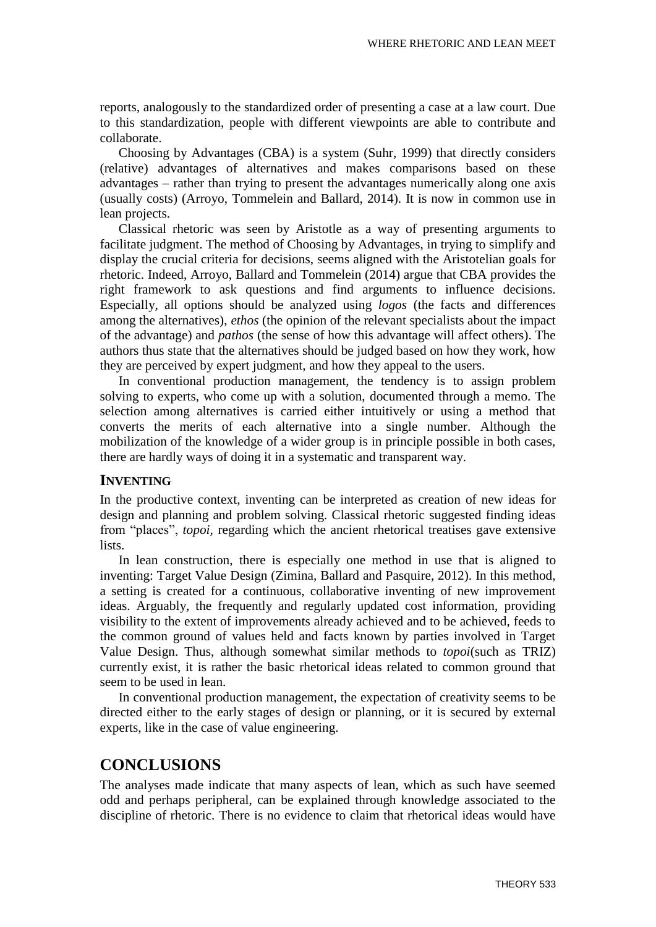reports, analogously to the standardized order of presenting a case at a law court. Due to this standardization, people with different viewpoints are able to contribute and collaborate.

Choosing by Advantages (CBA) is a system (Suhr, 1999) that directly considers (relative) advantages of alternatives and makes comparisons based on these advantages – rather than trying to present the advantages numerically along one axis (usually costs) (Arroyo, Tommelein and Ballard, 2014). It is now in common use in lean projects.

Classical rhetoric was seen by Aristotle as a way of presenting arguments to facilitate judgment. The method of Choosing by Advantages, in trying to simplify and display the crucial criteria for decisions, seems aligned with the Aristotelian goals for rhetoric. Indeed, Arroyo, Ballard and Tommelein (2014) argue that CBA provides the right framework to ask questions and find arguments to influence decisions. Especially, all options should be analyzed using *logos* (the facts and differences among the alternatives), *ethos* (the opinion of the relevant specialists about the impact of the advantage) and *pathos* (the sense of how this advantage will affect others). The authors thus state that the alternatives should be judged based on how they work, how they are perceived by expert judgment, and how they appeal to the users.

In conventional production management, the tendency is to assign problem solving to experts, who come up with a solution, documented through a memo. The selection among alternatives is carried either intuitively or using a method that converts the merits of each alternative into a single number. Although the mobilization of the knowledge of a wider group is in principle possible in both cases, there are hardly ways of doing it in a systematic and transparent way.

### **INVENTING**

In the productive context, inventing can be interpreted as creation of new ideas for design and planning and problem solving. Classical rhetoric suggested finding ideas from "places", *topoi,* regarding which the ancient rhetorical treatises gave extensive lists.

In lean construction, there is especially one method in use that is aligned to inventing: Target Value Design (Zimina, Ballard and Pasquire, 2012). In this method, a setting is created for a continuous, collaborative inventing of new improvement ideas. Arguably, the frequently and regularly updated cost information, providing visibility to the extent of improvements already achieved and to be achieved, feeds to the common ground of values held and facts known by parties involved in Target Value Design. Thus, although somewhat similar methods to *topoi*(such as TRIZ) currently exist, it is rather the basic rhetorical ideas related to common ground that seem to be used in lean.

In conventional production management, the expectation of creativity seems to be directed either to the early stages of design or planning, or it is secured by external experts, like in the case of value engineering.

# **CONCLUSIONS**

The analyses made indicate that many aspects of lean, which as such have seemed odd and perhaps peripheral, can be explained through knowledge associated to the discipline of rhetoric. There is no evidence to claim that rhetorical ideas would have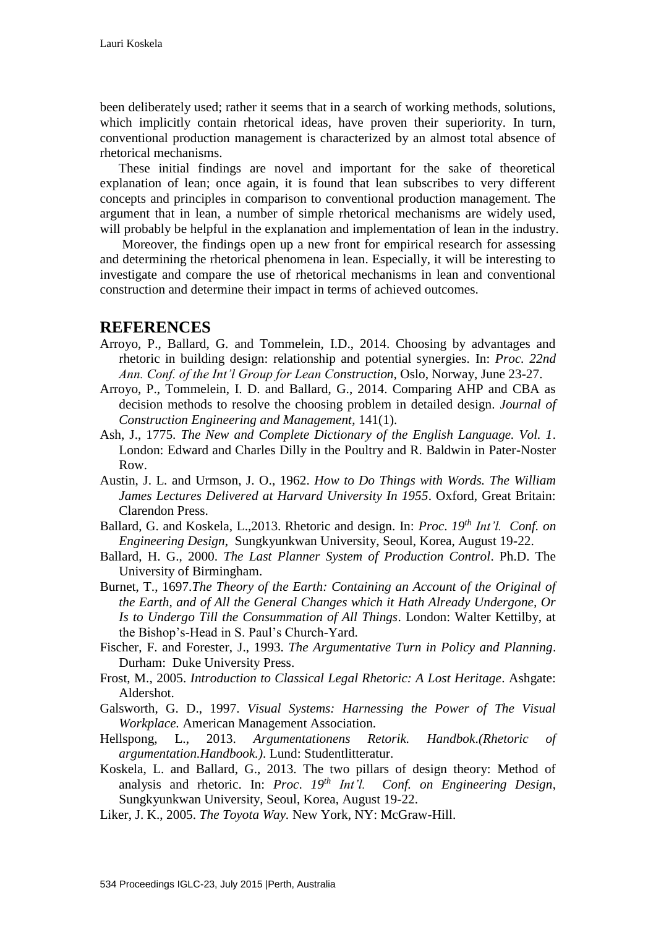been deliberately used; rather it seems that in a search of working methods, solutions, which implicitly contain rhetorical ideas, have proven their superiority. In turn, conventional production management is characterized by an almost total absence of rhetorical mechanisms.

These initial findings are novel and important for the sake of theoretical explanation of lean; once again, it is found that lean subscribes to very different concepts and principles in comparison to conventional production management. The argument that in lean, a number of simple rhetorical mechanisms are widely used, will probably be helpful in the explanation and implementation of lean in the industry.

Moreover, the findings open up a new front for empirical research for assessing and determining the rhetorical phenomena in lean. Especially, it will be interesting to investigate and compare the use of rhetorical mechanisms in lean and conventional construction and determine their impact in terms of achieved outcomes.

## **REFERENCES**

- Arroyo, P., Ballard, G. and Tommelein, I.D., 2014. Choosing by advantages and rhetoric in building design: relationship and potential synergies. In: *Proc. 22nd Ann. Conf. of the Int'l Group for Lean Construction,* Oslo, Norway, June 23-27.
- Arroyo, P., Tommelein, I. D. and Ballard, G., 2014. Comparing AHP and CBA as decision methods to resolve the choosing problem in detailed design. *Journal of Construction Engineering and Management*, 141(1).
- Ash, J., 1775. *The New and Complete Dictionary of the English Language. Vol. 1*. London: Edward and Charles Dilly in the Poultry and R. Baldwin in Pater-Noster Row.
- Austin, J. L. and Urmson, J. O., 1962. *How to Do Things with Words. The William James Lectures Delivered at Harvard University In 1955*. Oxford, Great Britain: Clarendon Press.
- Ballard, G. and Koskela, L.,2013. Rhetoric and design. In: *Proc*. *19th Int'l. Conf. on Engineering Design*, Sungkyunkwan University, Seoul, Korea, August 19-22.
- Ballard, H. G., 2000. *The Last Planner System of Production Control*. Ph.D. The University of Birmingham.
- Burnet, T., 1697.*The Theory of the Earth: Containing an Account of the Original of the Earth, and of All the General Changes which it Hath Already Undergone, Or Is to Undergo Till the Consummation of All Things*. London: Walter Kettilby, at the Bishop's-Head in S. Paul's Church-Yard.
- Fischer, F. and Forester, J., 1993. *The Argumentative Turn in Policy and Planning*. Durham: Duke University Press.
- Frost, M., 2005. *Introduction to Classical Legal Rhetoric: A Lost Heritage*. Ashgate: Aldershot.
- Galsworth, G. D., 1997. *Visual Systems: Harnessing the Power of The Visual Workplace.* American Management Association.
- Hellspong, L., 2013. *Argumentationens Retorik. Handbok*.*(Rhetoric of argumentation.Handbook.)*. Lund: Studentlitteratur.
- Koskela, L. and Ballard, G., 2013. The two pillars of design theory: Method of analysis and rhetoric. In: *Proc*. *19th Int'l. Conf. on Engineering Design*, Sungkyunkwan University, Seoul, Korea, August 19-22.
- Liker, J. K., 2005. *The Toyota Way.* New York, NY: McGraw-Hill.